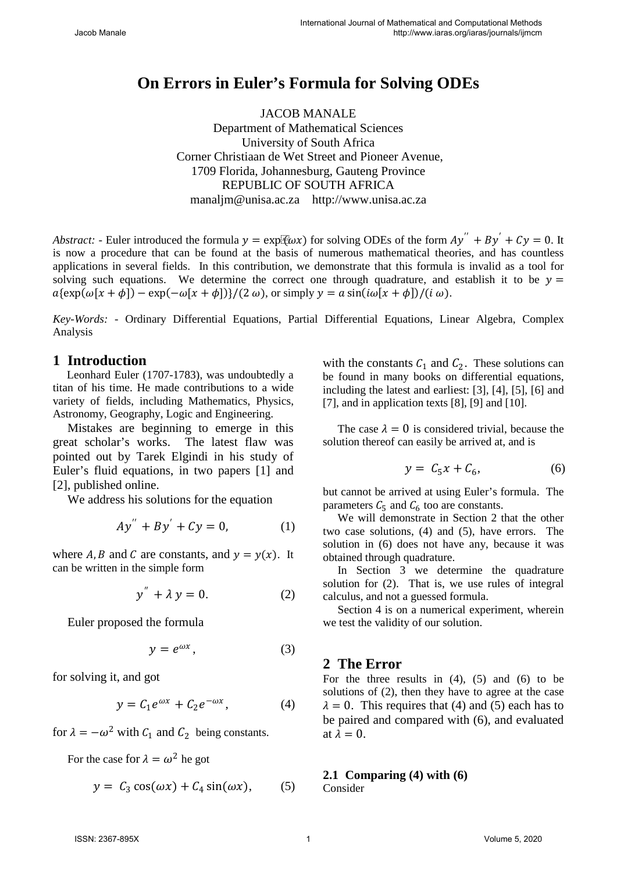# **On Errors in Euler's Formula for Solving ODEs**

JACOB MANALE Department of Mathematical Sciences University of South Africa Corner Christiaan de Wet Street and Pioneer Avenue, 1709 Florida, Johannesburg, Gauteng Province REPUBLIC OF SOUTH AFRICA manaljm@unisa.ac.za http://www.unisa.ac.za

*Abstract:* - Euler introduced the formula  $y = \exp[i(\omega x)]$  for solving ODEs of the form  $Ay'' + By' + Cy = 0$ . It is now a procedure that can be found at the basis of numerous mathematical theories, and has countless applications in several fields. In this contribution, we demonstrate that this formula is invalid as a tool for solving such equations. We determine the correct one through quadrature, and establish it to be  $y =$  $a\{\exp(\omega[x + \phi]) - \exp(-\omega[x + \phi])\}/(2 \omega)$ , or simply  $\gamma = a \sin(i\omega[x + \phi])/(i \omega)$ .

*Key-Words: -* Ordinary Differential Equations, Partial Differential Equations, Linear Algebra, Complex Analysis

# **1 Introduction**

Leonhard Euler (1707-1783), was undoubtedly a titan of his time. He made contributions to a wide variety of fields, including Mathematics, Physics, Astronomy, Geography, Logic and Engineering.

Mistakes are beginning to emerge in this great scholar's works. The latest flaw was pointed out by Tarek Elgindi in his study of Euler's fluid equations, in two papers [1] and [2], published online.

We address his solutions for the equation

$$
Ay'' + By' + Cy = 0, \t(1)
$$

where A, B and C are constants, and  $y = y(x)$ . It can be written in the simple form

$$
y'' + \lambda y = 0. \tag{2}
$$

Euler proposed the formula

$$
y = e^{\omega x}, \tag{3}
$$

for solving it, and got

$$
y = C_1 e^{\omega x} + C_2 e^{-\omega x}, \qquad (4)
$$

for  $\lambda = -\omega^2$  with  $C_1$  and  $C_2$  being constants.

For the case for  $\lambda = \omega^2$  he got

$$
y = C_3 \cos(\omega x) + C_4 \sin(\omega x), \qquad (5)
$$

with the constants  $C_1$  and  $C_2$ . These solutions can be found in many books on differential equations, including the latest and earliest: [3], [4], [5], [6] and [7], and in application texts [8], [9] and [10].

The case  $\lambda = 0$  is considered trivial, because the solution thereof can easily be arrived at, and is

$$
y = C_5 x + C_6, \tag{6}
$$

but cannot be arrived at using Euler's formula. The parameters  $C_5$  and  $C_6$  too are constants.

We will demonstrate in Section 2 that the other two case solutions, (4) and (5), have errors. The solution in (6) does not have any, because it was obtained through quadrature.

In Section 3 we determine the quadrature solution for (2). That is, we use rules of integral calculus, and not a guessed formula.

Section 4 is on a numerical experiment, wherein we test the validity of our solution.

# **2 The Error**

For the three results in  $(4)$ ,  $(5)$  and  $(6)$  to be solutions of (2), then they have to agree at the case  $\lambda = 0$ . This requires that (4) and (5) each has to be paired and compared with (6), and evaluated at  $\lambda = 0$ .

#### **2.1 Comparing (4) with (6)**

Consider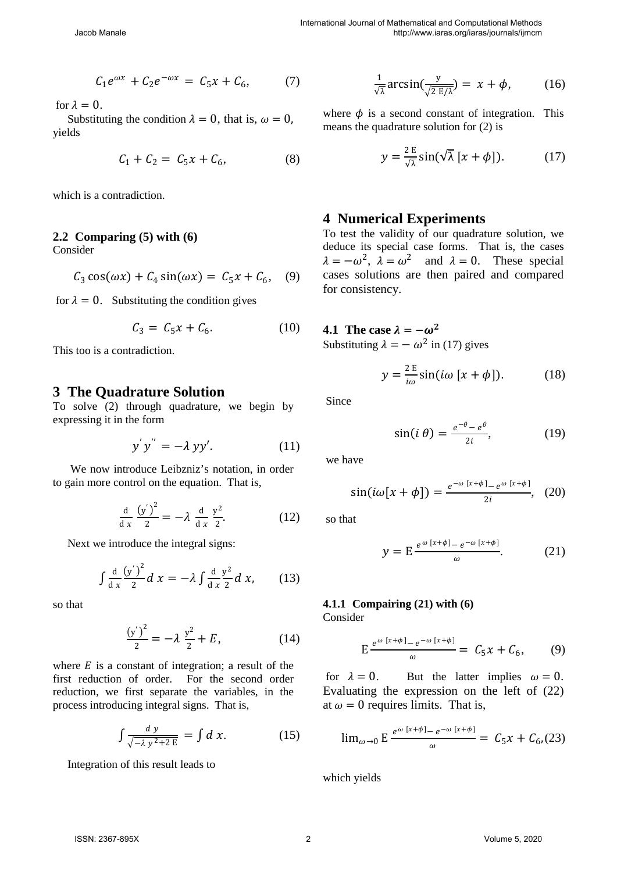$$
C_1 e^{\omega x} + C_2 e^{-\omega x} = C_5 x + C_6, \tag{7}
$$

for  $\lambda = 0$ .

Substituting the condition  $\lambda = 0$ , that is,  $\omega = 0$ , yields

$$
C_1 + C_2 = C_5 x + C_6, \tag{8}
$$

which is a contradiction.

#### **2.2 Comparing (5) with (6)**

Consider

$$
C_3 \cos(\omega x) + C_4 \sin(\omega x) = C_5 x + C_6, \quad (9)
$$

for  $\lambda = 0$ . Substituting the condition gives

$$
C_3 = C_5 x + C_6. \tag{10}
$$

This too is a contradiction.

#### **3 The Quadrature Solution**

To solve (2) through quadrature, we begin by expressing it in the form

$$
y'y'' = -\lambda yy'. \tag{11}
$$

We now introduce Leibzniz's notation, in order to gain more control on the equation. That is,

$$
\frac{\mathrm{d}}{\mathrm{d}x}\frac{\left(y'\right)^2}{2}=-\lambda\,\frac{\mathrm{d}}{\mathrm{d}x}\,\frac{y^2}{2}.\tag{12}
$$

Next we introduce the integral signs:

$$
\int \frac{d}{dx} \frac{(y')^2}{2} dx = -\lambda \int \frac{d}{dx} \frac{y^2}{2} dx, \qquad (13)
$$

so that

$$
\frac{(y')^2}{2} = -\lambda \frac{y^2}{2} + E,\tag{14}
$$

where  $E$  is a constant of integration; a result of the first reduction of order. For the second order reduction, we first separate the variables, in the process introducing integral signs. That is,

$$
\int \frac{dy}{\sqrt{-\lambda y^2 + 2 E}} = \int d x. \tag{15}
$$

Integration of this result leads to

$$
\frac{1}{\sqrt{\lambda}} \arcsin\left(\frac{y}{\sqrt{2 E/\lambda}}\right) = x + \phi,\tag{16}
$$

where  $\phi$  is a second constant of integration. This means the quadrature solution for (2) is

$$
y = \frac{2 E}{\sqrt{\lambda}} \sin(\sqrt{\lambda} [x + \phi]).
$$
 (17)

#### **4 Numerical Experiments**

To test the validity of our quadrature solution, we deduce its special case forms. That is, the cases  $\lambda = -\omega^2$ ,  $\lambda = \omega^2$  and  $\lambda = 0$ . These special cases solutions are then paired and compared for consistency.

**4.1** The case  $\lambda = -\omega^2$ Substituting  $\lambda = -\omega^2$  in (17) gives

$$
y = \frac{2 \mathbf{E}}{i\omega} \sin(i\omega [x + \phi]). \tag{18}
$$

Since

$$
\sin(i \theta) = \frac{e^{-\theta} - e^{\theta}}{2i},\tag{19}
$$

we have

$$
\sin(i\omega[x+\phi]) = \frac{e^{-\omega[x+\phi]}-e^{\omega[x+\phi]}}{2i}, \quad (20)
$$

so that

$$
y = E \frac{e^{\omega [x+\phi]} - e^{-\omega [x+\phi]}}{\omega}.
$$
 (21)

#### **4.1.1 Compairing (21) with (6)**  Consider

$$
E \frac{e^{\omega [x+\phi]} - e^{-\omega [x+\phi]}}{\omega} = C_5 x + C_6, \qquad (9)
$$

for  $\lambda = 0$ . But the latter implies  $\omega = 0$ . Evaluating the expression on the left of (22) at  $\omega = 0$  requires limits. That is,

$$
\lim_{\omega \to 0} \mathsf{E} \frac{e^{\omega [x + \phi] - e^{-\omega [x + \phi]}}}{\omega} = C_5 x + C_6 (23)
$$

which yields